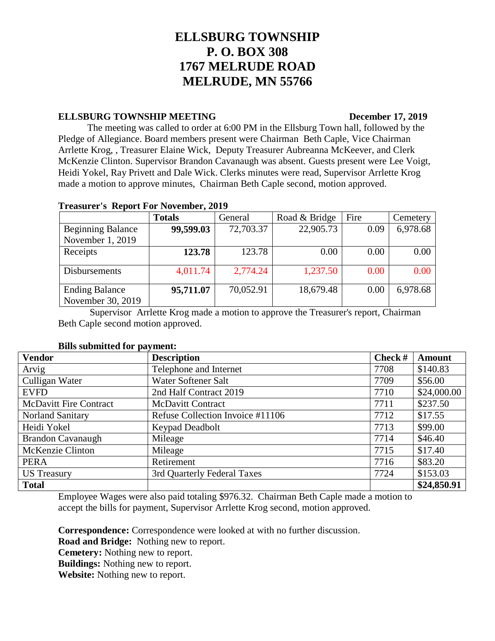# **ELLSBURG TOWNSHIP P. O. BOX 308 1767 MELRUDE ROAD MELRUDE, MN 55766**

### **ELLSBURG TOWNSHIP MEETING** December 17, 2019

The meeting was called to order at 6:00 PM in the Ellsburg Town hall, followed by the Pledge of Allegiance. Board members present were Chairman Beth Caple, Vice Chairman Arrlette Krog, , Treasurer Elaine Wick, Deputy Treasurer Aubreanna McKeever, and Clerk McKenzie Clinton. Supervisor Brandon Cavanaugh was absent. Guests present were Lee Voigt, Heidi Yokel, Ray Privett and Dale Wick. Clerks minutes were read, Supervisor Arrlette Krog made a motion to approve minutes, Chairman Beth Caple second, motion approved.

|                          | <b>Totals</b> | General   | Road & Bridge | Fire | Cemetery |
|--------------------------|---------------|-----------|---------------|------|----------|
|                          | 99,599.03     |           | 22,905.73     |      |          |
| <b>Beginning Balance</b> |               | 72,703.37 |               | 0.09 | 6,978.68 |
| November 1, 2019         |               |           |               |      |          |
| Receipts                 | 123.78        | 123.78    | 0.00          | 0.00 | 0.00     |
|                          |               |           |               |      |          |
| <b>Disbursements</b>     | 4,011.74      | 2,774.24  | 1,237.50      | 0.00 | 0.00     |
|                          |               |           |               |      |          |
| <b>Ending Balance</b>    | 95,711.07     | 70,052.91 | 18,679.48     | 0.00 | 6,978.68 |
| November 30, 2019        |               |           |               |      |          |

## **Treasurer's Report For November, 2019**

Supervisor Arrlette Krog made a motion to approve the Treasurer's report, Chairman Beth Caple second motion approved.

| <b>Vendor</b>                 | <b>Description</b>               | Check # | <b>Amount</b> |
|-------------------------------|----------------------------------|---------|---------------|
| Arvig                         | Telephone and Internet           | 7708    | \$140.83      |
| Culligan Water                | Water Softener Salt              | 7709    | \$56.00       |
| <b>EVFD</b>                   | 2nd Half Contract 2019           | 7710    | \$24,000.00   |
| <b>McDavitt Fire Contract</b> | <b>McDavitt Contract</b>         | 7711    | \$237.50      |
| <b>Norland Sanitary</b>       | Refuse Collection Invoice #11106 | 7712    | \$17.55       |
| Heidi Yokel                   | Keypad Deadbolt                  | 7713    | \$99.00       |
| <b>Brandon Cavanaugh</b>      | Mileage                          | 7714    | \$46.40       |
| McKenzie Clinton              | Mileage                          | 7715    | \$17.40       |
| <b>PERA</b>                   | Retirement                       | 7716    | \$83.20       |
| <b>US</b> Treasury            | 3rd Quarterly Federal Taxes      | 7724    | \$153.03      |
| <b>Total</b>                  |                                  |         | \$24,850.91   |

Employee Wages were also paid totaling \$976.32. Chairman Beth Caple made a motion to accept the bills for payment, Supervisor Arrlette Krog second, motion approved.

**Correspondence:** Correspondence were looked at with no further discussion.

**Road and Bridge:** Nothing new to report.

**Cemetery:** Nothing new to report.

**Buildings:** Nothing new to report.

**Website:** Nothing new to report.